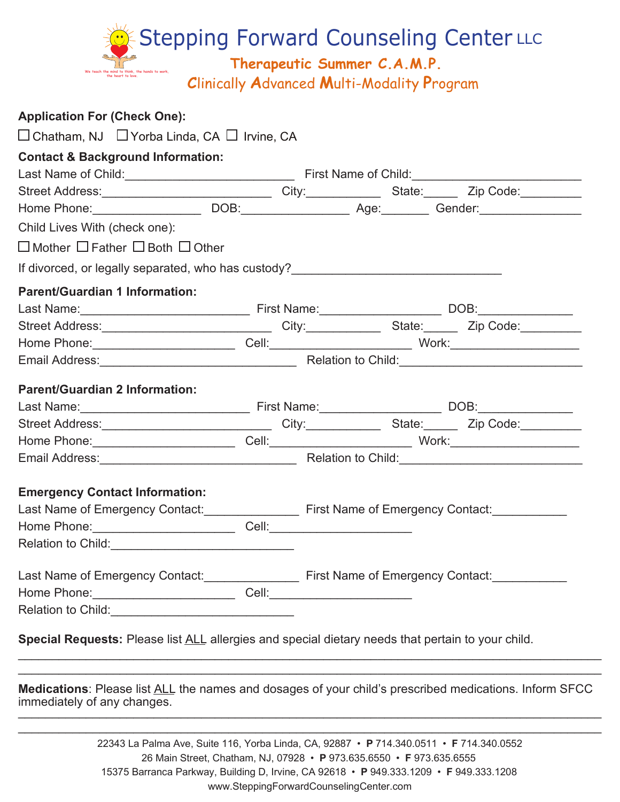

| <b>Application For (Check One):</b>                                                                                                                                                                                                |  |  |  |  |  |
|------------------------------------------------------------------------------------------------------------------------------------------------------------------------------------------------------------------------------------|--|--|--|--|--|
| $\Box$ Chatham, NJ $\Box$ Yorba Linda, CA $\Box$ Irvine, CA                                                                                                                                                                        |  |  |  |  |  |
| <b>Contact &amp; Background Information:</b>                                                                                                                                                                                       |  |  |  |  |  |
|                                                                                                                                                                                                                                    |  |  |  |  |  |
| Street Address: _________________________________City:_______________State: ________Zip Code: ___________                                                                                                                          |  |  |  |  |  |
|                                                                                                                                                                                                                                    |  |  |  |  |  |
| Child Lives With (check one):                                                                                                                                                                                                      |  |  |  |  |  |
| $\Box$ Mother $\Box$ Father $\Box$ Both $\Box$ Other                                                                                                                                                                               |  |  |  |  |  |
| If divorced, or legally separated, who has custody?______________________________                                                                                                                                                  |  |  |  |  |  |
| <b>Parent/Guardian 1 Information:</b>                                                                                                                                                                                              |  |  |  |  |  |
|                                                                                                                                                                                                                                    |  |  |  |  |  |
| Street Address: _______________________________City:______________State:________Zip Code:__________                                                                                                                                |  |  |  |  |  |
|                                                                                                                                                                                                                                    |  |  |  |  |  |
|                                                                                                                                                                                                                                    |  |  |  |  |  |
| <b>Parent/Guardian 2 Information:</b>                                                                                                                                                                                              |  |  |  |  |  |
|                                                                                                                                                                                                                                    |  |  |  |  |  |
| Street Address: _______________________________City:______________State:________Zip Code:__________                                                                                                                                |  |  |  |  |  |
|                                                                                                                                                                                                                                    |  |  |  |  |  |
| Email Address: <u>Communications and Childs and Child:</u> Child: Child: Child: Child: Child: Child: Child: Child: Child: Child: Child: Child: Child: Child: Child: Child: Child: Child: Child: Child: Child: Child: Child: Child: |  |  |  |  |  |
| <b>Emergency Contact Information:</b>                                                                                                                                                                                              |  |  |  |  |  |
| Last Name of Emergency Contact: First Name of Emergency Contact:                                                                                                                                                                   |  |  |  |  |  |
| Home Phone: __________________________________Cell: ____________________________                                                                                                                                                   |  |  |  |  |  |
|                                                                                                                                                                                                                                    |  |  |  |  |  |
|                                                                                                                                                                                                                                    |  |  |  |  |  |
|                                                                                                                                                                                                                                    |  |  |  |  |  |
|                                                                                                                                                                                                                                    |  |  |  |  |  |
| Special Requests: Please list ALL allergies and special dietary needs that pertain to your child.                                                                                                                                  |  |  |  |  |  |

**Medications**: Please list ALL the names and dosages of your child's prescribed medications. Inform SFCC immediately of any changes.  $\frac{1}{2}$  ,  $\frac{1}{2}$  ,  $\frac{1}{2}$  ,  $\frac{1}{2}$  ,  $\frac{1}{2}$  ,  $\frac{1}{2}$  ,  $\frac{1}{2}$  ,  $\frac{1}{2}$  ,  $\frac{1}{2}$  ,  $\frac{1}{2}$  ,  $\frac{1}{2}$  ,  $\frac{1}{2}$  ,  $\frac{1}{2}$  ,  $\frac{1}{2}$  ,  $\frac{1}{2}$  ,  $\frac{1}{2}$  ,  $\frac{1}{2}$  ,  $\frac{1}{2}$  ,  $\frac{1$ 

 $\mathcal{L}_\mathcal{L} = \{ \mathcal{L}_\mathcal{L} = \{ \mathcal{L}_\mathcal{L} = \{ \mathcal{L}_\mathcal{L} = \{ \mathcal{L}_\mathcal{L} = \{ \mathcal{L}_\mathcal{L} = \{ \mathcal{L}_\mathcal{L} = \{ \mathcal{L}_\mathcal{L} = \{ \mathcal{L}_\mathcal{L} = \{ \mathcal{L}_\mathcal{L} = \{ \mathcal{L}_\mathcal{L} = \{ \mathcal{L}_\mathcal{L} = \{ \mathcal{L}_\mathcal{L} = \{ \mathcal{L}_\mathcal{L} = \{ \mathcal{L}_\mathcal{$ 

22343 La Palma Ave, Suite 116, Yorba Linda, CA, 92887 • **P** 714.340.0511 • **F** 714.340.0552 26 Main Street, Chatham, NJ, 07928 • **P** 973.635.6550 • **F** 973.635.6555 15375 Barranca Parkway, Building D, Irvine, CA 92618 • **P** 949.333.1209 • **F** 949.333.1208 www.SteppingForwardCounselingCenter.com

 $\mathcal{L}_\mathcal{L} = \mathcal{L}_\mathcal{L} = \mathcal{L}_\mathcal{L} = \mathcal{L}_\mathcal{L} = \mathcal{L}_\mathcal{L} = \mathcal{L}_\mathcal{L} = \mathcal{L}_\mathcal{L} = \mathcal{L}_\mathcal{L} = \mathcal{L}_\mathcal{L} = \mathcal{L}_\mathcal{L} = \mathcal{L}_\mathcal{L} = \mathcal{L}_\mathcal{L} = \mathcal{L}_\mathcal{L} = \mathcal{L}_\mathcal{L} = \mathcal{L}_\mathcal{L} = \mathcal{L}_\mathcal{L} = \mathcal{L}_\mathcal{L}$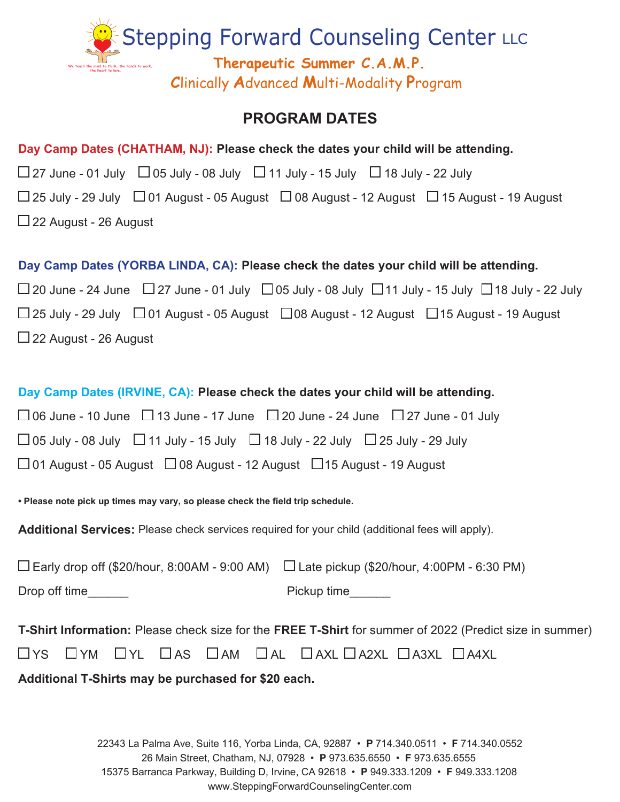

## **PROGRAM DATES**

| Day Camp Dates (CHATHAM, NJ): Please check the dates your child will be attending.                                           |  |  |  |  |
|------------------------------------------------------------------------------------------------------------------------------|--|--|--|--|
| $\Box$ 27 June - 01 July $\Box$ 05 July - 08 July $\Box$ 11 July - 15 July $\Box$ 18 July - 22 July                          |  |  |  |  |
| $\Box$ 25 July - 29 July $\Box$ 01 August - 05 August $\Box$ 08 August - 12 August $\Box$ 15 August - 19 August              |  |  |  |  |
| $\Box$ 22 August - 26 August                                                                                                 |  |  |  |  |
|                                                                                                                              |  |  |  |  |
| Day Camp Dates (YORBA LINDA, CA): Please check the dates your child will be attending.                                       |  |  |  |  |
| $\Box$ 20 June - 24 June $\Box$ 27 June - 01 July $\Box$ 05 July - 08 July $\Box$ 11 July - 15 July $\Box$ 18 July - 22 July |  |  |  |  |
| $\Box$ 25 July - 29 July $\Box$ 01 August - 05 August $\Box$ 08 August - 12 August $\Box$ 15 August - 19 August              |  |  |  |  |
| $\Box$ 22 August - 26 August                                                                                                 |  |  |  |  |
|                                                                                                                              |  |  |  |  |
| Day Camp Dates (IRVINE, CA): Please check the dates your child will be attending.                                            |  |  |  |  |
| $\Box$ 06 June - 10 June $\Box$ 13 June - 17 June $\Box$ 20 June - 24 June $\Box$ 27 June - 01 July                          |  |  |  |  |
| $\Box$ 05 July - 08 July $\Box$ 11 July - 15 July $\Box$ 18 July - 22 July $\Box$ 25 July - 29 July                          |  |  |  |  |
| $\Box$ 01 August - 05 August $\Box$ 08 August - 12 August $\Box$ 15 August - 19 August                                       |  |  |  |  |
|                                                                                                                              |  |  |  |  |
| . Please note pick up times may vary, so please check the field trip schedule.                                               |  |  |  |  |
| <b>Additional Services:</b> Please check services required for your child (additional fees will apply).                      |  |  |  |  |

| $\Box$ Early drop off (\$20/hour, 8:00AM - 9:00 AM) $\Box$ Late pickup (\$20/hour, 4:00PM - 6:30 PM) |             |
|------------------------------------------------------------------------------------------------------|-------------|
| Drop off time                                                                                        | Pickup time |

**T-Shirt Information:** Please check size for the **FREE T-Shirt** for summer of 2022 (Predict size in summer)

|  |  |  |  |  |  | Oys Oym Oyl Oas Oam Oal OaxlOa2xlOa3xlOa4xl |  |  |
|--|--|--|--|--|--|---------------------------------------------|--|--|
|--|--|--|--|--|--|---------------------------------------------|--|--|

**Additional T-Shirts may be purchased for \$20 each.**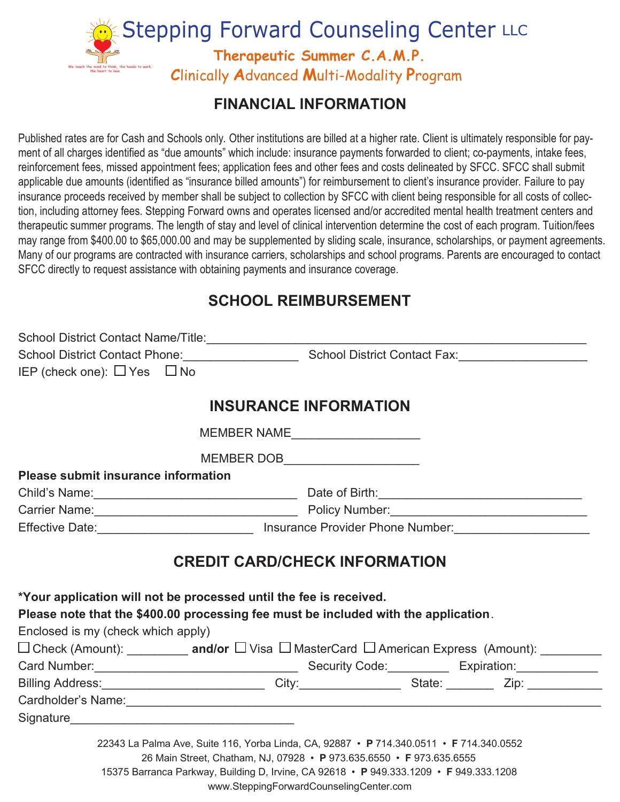

# **FINANCIAL INFORMATION**

Published rates are for Cash and Schools only. Other institutions are billed at a higher rate. Client is ultimately responsible for payment of all charges identified as "due amounts" which include: insurance payments forwarded to client; co-payments, intake fees, reinforcement fees, missed appointment fees; application fees and other fees and costs delineated by SFCC. SFCC shall submit applicable due amounts (identified as "insurance billed amounts") for reimbursement to client's insurance provider. Failure to pay insurance proceeds received by member shall be subject to collection by SFCC with client being responsible for all costs of collection, including attorney fees. Stepping Forward owns and operates licensed and/or accredited mental health treatment centers and therapeutic summer programs. The length of stay and level of clinical intervention determine the cost of each program. Tuition/fees may range from \$400.00 to \$65,000.00 and may be supplemented by sliding scale, insurance, scholarships, or payment agreements. Many of our programs are contracted with insurance carriers, scholarships and school programs. Parents are encouraged to contact SFCC directly to request assistance with obtaining payments and insurance coverage.

## **SCHOOL REIMBURSEMENT**

| School District Contact Name/Title:   |                                     |
|---------------------------------------|-------------------------------------|
| <b>School District Contact Phone:</b> | <b>School District Contact Fax:</b> |
| IEP (check one): $\Box$ Yes $\Box$ No |                                     |

### **INSURANCE INFORMATION**

MEMBER NAME\_\_\_\_\_\_\_\_\_\_\_\_\_\_\_\_\_\_\_

MEMBER DOB

**Please submit insurance information**

Child's Name:\_\_\_\_\_\_\_\_\_\_\_\_\_\_\_\_\_\_\_\_\_\_\_\_\_\_\_\_\_\_ Date of Birth:\_\_\_\_\_\_\_\_\_\_\_\_\_\_\_\_\_\_\_\_\_\_\_\_\_\_\_\_\_\_ Carrier Name:\_\_\_\_\_\_\_\_\_\_\_\_\_\_\_\_\_\_\_\_\_\_\_\_\_\_\_\_\_\_ Policy Number:\_\_\_\_\_\_\_\_\_\_\_\_\_\_\_\_\_\_\_\_\_\_\_\_\_\_\_\_\_ Effective Date: etc. All and the Unsurance Provider Phone Number:

### **CREDIT CARD/CHECK INFORMATION**

**\*Your application will not be processed until the fee is received. Please note that the \$400.00 processing fee must be included with the application**. Enclosed is my (check which apply) □ Check (Amount): \_\_\_\_\_\_\_\_\_ and/or □ Visa □ MasterCard □ American Express (Amount): \_\_\_\_\_\_\_\_ Card Number:\_\_\_\_\_\_\_\_\_\_\_\_\_\_\_\_\_\_\_\_\_\_\_\_\_\_\_\_\_\_ Security Code:\_\_\_\_\_\_\_\_\_ Expiration:\_\_\_\_\_\_\_\_\_\_\_\_ Billing Address:\_\_\_\_\_\_\_\_\_\_\_\_\_\_\_\_\_\_\_\_\_\_\_\_\_\_\_\_\_\_City:\_\_\_\_\_\_\_\_\_\_\_\_\_\_\_\_\_\_\_State: \_\_\_\_\_\_\_\_\_\_ Zip: \_\_\_\_\_\_\_\_\_\_\_\_\_ Cardholder's Name: with the control of the control of the control of the control of the control of the control of the control of the control of the control of the control of the control of the control of the control of the Signature\_\_\_\_\_\_\_\_\_\_\_\_\_\_\_\_\_\_\_\_\_\_\_\_\_\_\_\_\_\_\_\_\_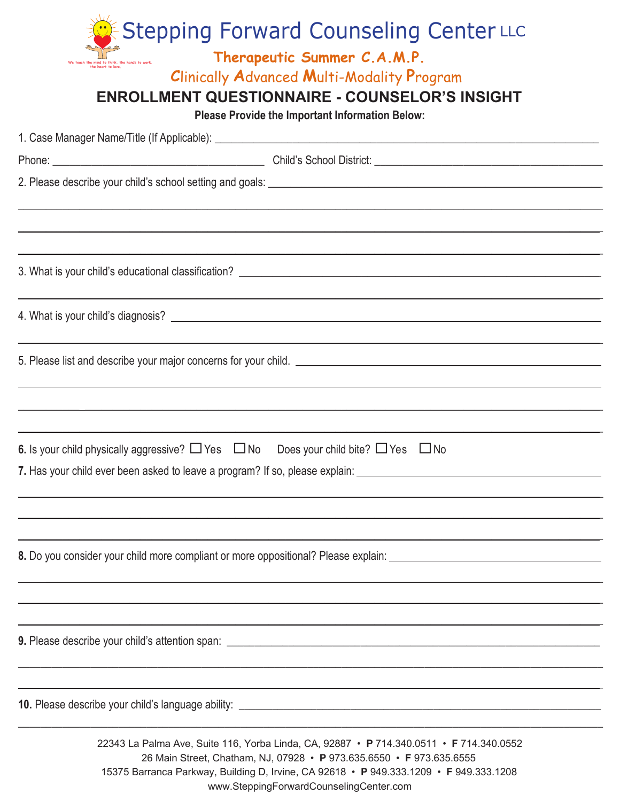| <b>Stepping Forward Counseling Center LLC</b>                                                                                                                                                                                                             |  |
|-----------------------------------------------------------------------------------------------------------------------------------------------------------------------------------------------------------------------------------------------------------|--|
| Therapeutic Summer C.A.M.P.                                                                                                                                                                                                                               |  |
| <b>Clinically Advanced Multi-Modality Program</b>                                                                                                                                                                                                         |  |
| <b>ENROLLMENT QUESTIONNAIRE - COUNSELOR'S INSIGHT</b><br>Please Provide the Important Information Below:                                                                                                                                                  |  |
|                                                                                                                                                                                                                                                           |  |
|                                                                                                                                                                                                                                                           |  |
|                                                                                                                                                                                                                                                           |  |
|                                                                                                                                                                                                                                                           |  |
|                                                                                                                                                                                                                                                           |  |
|                                                                                                                                                                                                                                                           |  |
|                                                                                                                                                                                                                                                           |  |
|                                                                                                                                                                                                                                                           |  |
|                                                                                                                                                                                                                                                           |  |
|                                                                                                                                                                                                                                                           |  |
|                                                                                                                                                                                                                                                           |  |
|                                                                                                                                                                                                                                                           |  |
| 6. Is your child physically aggressive? $\Box$ Yes $\Box$ No Does your child bite? $\Box$ Yes $\Box$ No                                                                                                                                                   |  |
|                                                                                                                                                                                                                                                           |  |
|                                                                                                                                                                                                                                                           |  |
|                                                                                                                                                                                                                                                           |  |
| 8. Do you consider your child more compliant or more oppositional? Please explain: ___________________________                                                                                                                                            |  |
|                                                                                                                                                                                                                                                           |  |
|                                                                                                                                                                                                                                                           |  |
|                                                                                                                                                                                                                                                           |  |
|                                                                                                                                                                                                                                                           |  |
|                                                                                                                                                                                                                                                           |  |
|                                                                                                                                                                                                                                                           |  |
| 22343 La Palma Ave, Suite 116, Yorba Linda, CA, 92887 • P 714.340.0511 • F 714.340.0552<br>26 Main Street, Chatham, NJ, 07928 • P 973.635.6550 • F 973.635.6555<br>15375 Barranca Parkway, Building D, Irvine, CA 92618 • P 949.333.1209 • F 949.333.1208 |  |

www.SteppingForwardCounselingCenter.com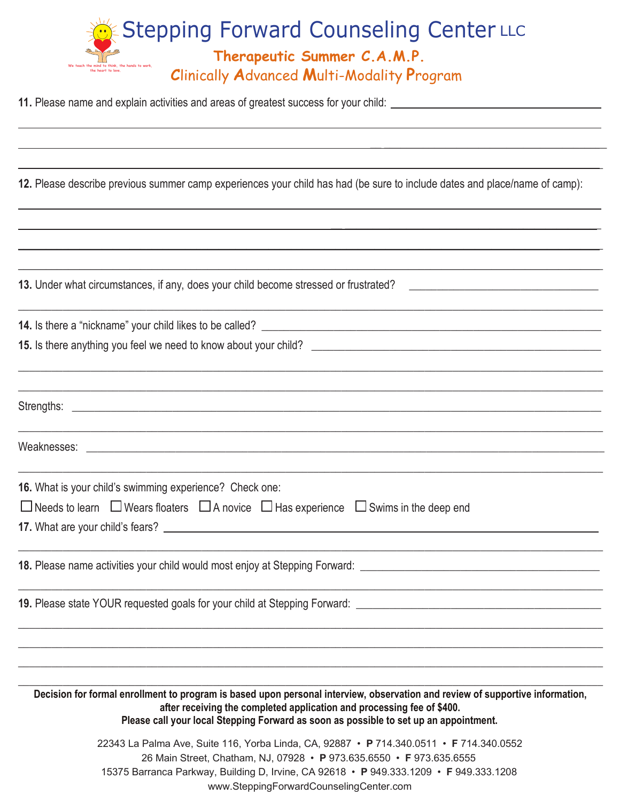

**11.** Please name and explain activities and areas of greatest success for your child:

 $\overline{a}$ 

 $\overline{a}$ 

**12.** Please describe previous summer camp experiences your child has had (be sure to include dates and place/name of camp):

 $\overline{\phantom{a}}$  , and the contract of the contract of the contract of the contract of the contract of the contract of the contract of the contract of the contract of the contract of the contract of the contract of the contrac  $\_$  , and the set of the set of the set of the set of the set of the set of the set of the set of the set of the set of the set of the set of the set of the set of the set of the set of the set of the set of the set of th

| 13. Under what circumstances, if any, does your child become stressed or frustrated? _________________________________                                                                                                                                                                           |
|--------------------------------------------------------------------------------------------------------------------------------------------------------------------------------------------------------------------------------------------------------------------------------------------------|
|                                                                                                                                                                                                                                                                                                  |
|                                                                                                                                                                                                                                                                                                  |
|                                                                                                                                                                                                                                                                                                  |
|                                                                                                                                                                                                                                                                                                  |
|                                                                                                                                                                                                                                                                                                  |
|                                                                                                                                                                                                                                                                                                  |
| 16. What is your child's swimming experience? Check one:                                                                                                                                                                                                                                         |
| $\Box$ Needs to learn $\Box$ Wears floaters $\Box$ A novice $\Box$ Has experience $\Box$ Swims in the deep end                                                                                                                                                                                   |
|                                                                                                                                                                                                                                                                                                  |
|                                                                                                                                                                                                                                                                                                  |
|                                                                                                                                                                                                                                                                                                  |
|                                                                                                                                                                                                                                                                                                  |
| Decision for formal enrollment to program is based upon personal interview, observation and review of supportive information,<br>after receiving the completed application and processing fee of \$400.<br>Please call your local Stepping Forward as soon as possible to set up an appointment. |
| 22343 La Palma Ave, Suite 116, Yorba Linda, CA, 92887 • P 714.340.0511 • F 714.340.0552<br>26 Main Street, Chatham, NJ, 07928 • P 973.635.6550 • F 973.635.6555                                                                                                                                  |

15375 Barranca Parkway, Building D, Irvine, CA 92618 • **P** 949.333.1209 • **F** 949.333.1208

www.SteppingForwardCounselingCenter.com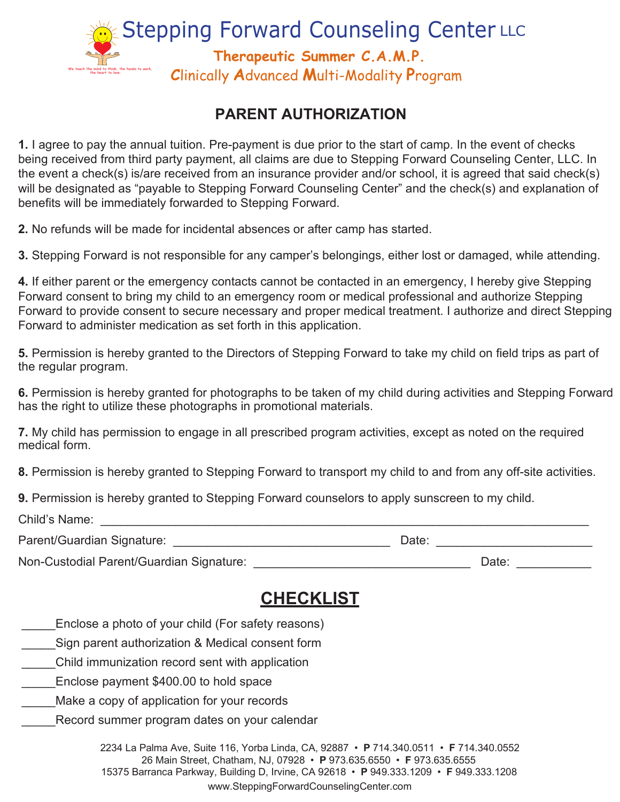

# **PARENT AUTHORIZATION**

**1.** I agree to pay the annual tuition. Pre-payment is due prior to the start of camp. In the event of checks being received from third party payment, all claims are due to Stepping Forward Counseling Center, LLC. In the event a check(s) is/are received from an insurance provider and/or school, it is agreed that said check(s) will be designated as "payable to Stepping Forward Counseling Center" and the check(s) and explanation of benefits will be immediately forwarded to Stepping Forward.

**2.** No refunds will be made for incidental absences or after camp has started.

**3.** Stepping Forward is not responsible for any camper's belongings, either lost or damaged, while attending.

**4.** If either parent or the emergency contacts cannot be contacted in an emergency, I hereby give Stepping Forward consent to bring my child to an emergency room or medical professional and authorize Stepping Forward to provide consent to secure necessary and proper medical treatment. I authorize and direct Stepping Forward to administer medication as set forth in this application.

**5.** Permission is hereby granted to the Directors of Stepping Forward to take my child on field trips as part of the regular program.

**6.** Permission is hereby granted for photographs to be taken of my child during activities and Stepping Forward has the right to utilize these photographs in promotional materials.

**7.** My child has permission to engage in all prescribed program activities, except as noted on the required medical form.

**8.** Permission is hereby granted to Stepping Forward to transport my child to and from any off-site activities.

**9.** Permission is hereby granted to Stepping Forward counselors to apply sunscreen to my child.

| Child's Name:                            |       |
|------------------------------------------|-------|
| Parent/Guardian Signature:               | Date: |
| Non-Custodial Parent/Guardian Signature: | Date: |

# **CHECKLIST**

- Enclose a photo of your child (For safety reasons)
- Sign parent authorization & Medical consent form
- \_\_\_\_\_Child immunization record sent with application
- Enclose payment \$400.00 to hold space
- Make a copy of application for your records
- Record summer program dates on your calendar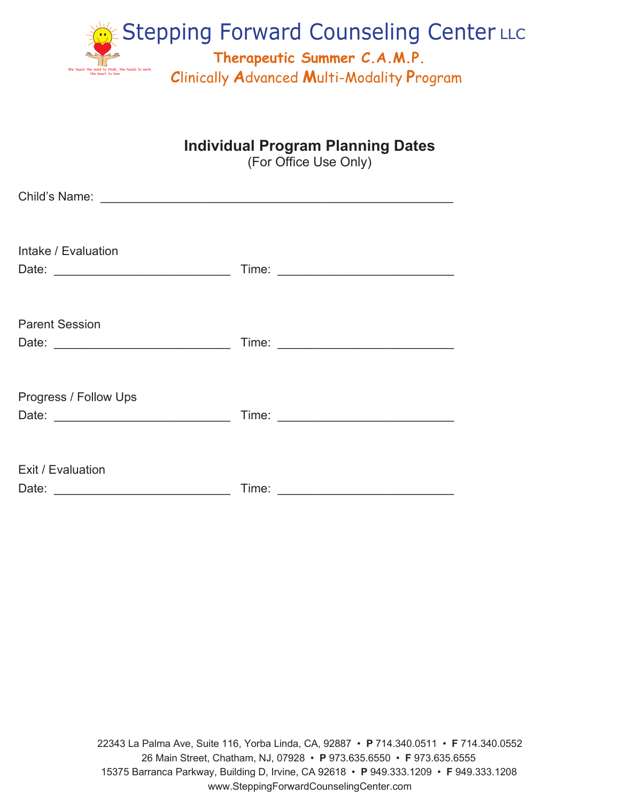

# **Individual Program Planning Dates**

(For Office Use Only)

| Intake / Evaluation        |                                                                                                                |
|----------------------------|----------------------------------------------------------------------------------------------------------------|
| <b>Parent Session</b>      |                                                                                                                |
| Progress / Follow Ups      |                                                                                                                |
| Exit / Evaluation<br>Date: | Time: The Second Second Second Second Second Second Second Second Second Second Second Second Second Second Se |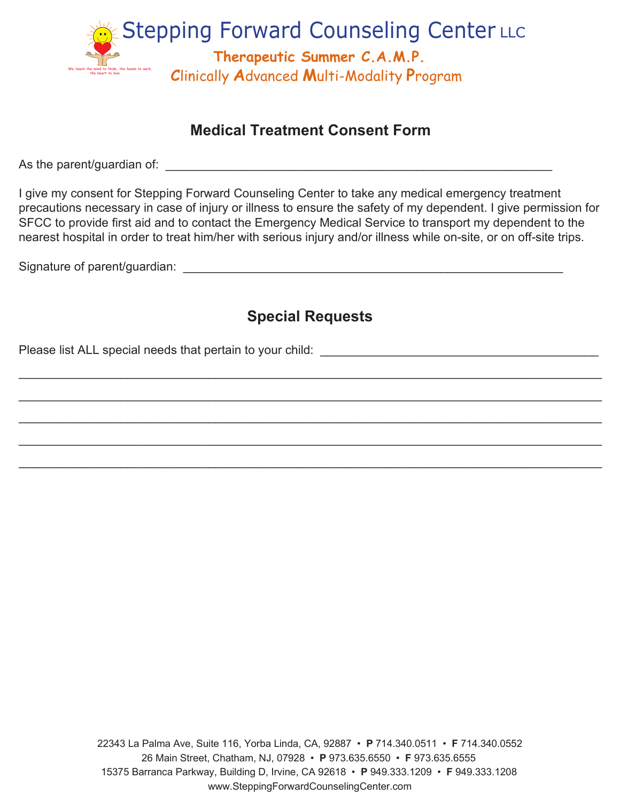

# **Medical Treatment Consent Form**

As the parent/guardian of: \_\_\_\_\_\_\_\_\_\_\_\_\_\_\_\_\_\_\_\_\_\_\_\_\_\_\_\_\_\_\_\_\_\_\_\_\_\_\_\_\_\_\_\_\_\_\_\_\_\_\_\_\_\_\_\_\_

I give my consent for Stepping Forward Counseling Center to take any medical emergency treatment precautions necessary in case of injury or illness to ensure the safety of my dependent. I give permission for SFCC to provide first aid and to contact the Emergency Medical Service to transport my dependent to the nearest hospital in order to treat him/her with serious injury and/or illness while on-site, or on off-site trips.

Signature of parent/guardian:  $\Box$ 

# **Special Requests**

 $\_$  , and the set of the set of the set of the set of the set of the set of the set of the set of the set of the set of the set of the set of the set of the set of the set of the set of the set of the set of the set of th

 $\mathcal{L}_\mathcal{L} = \mathcal{L}_\mathcal{L} = \mathcal{L}_\mathcal{L} = \mathcal{L}_\mathcal{L} = \mathcal{L}_\mathcal{L} = \mathcal{L}_\mathcal{L} = \mathcal{L}_\mathcal{L} = \mathcal{L}_\mathcal{L} = \mathcal{L}_\mathcal{L} = \mathcal{L}_\mathcal{L} = \mathcal{L}_\mathcal{L} = \mathcal{L}_\mathcal{L} = \mathcal{L}_\mathcal{L} = \mathcal{L}_\mathcal{L} = \mathcal{L}_\mathcal{L} = \mathcal{L}_\mathcal{L} = \mathcal{L}_\mathcal{L}$ 

 $\_$  , and the set of the set of the set of the set of the set of the set of the set of the set of the set of the set of the set of the set of the set of the set of the set of the set of the set of the set of the set of th

 $\_$  , and the set of the set of the set of the set of the set of the set of the set of the set of the set of the set of the set of the set of the set of the set of the set of the set of the set of the set of the set of th

 $\_$  , and the set of the set of the set of the set of the set of the set of the set of the set of the set of the set of the set of the set of the set of the set of the set of the set of the set of the set of the set of th

Please list ALL special needs that pertain to your child: \_\_\_\_\_\_\_\_\_\_\_\_\_\_\_\_\_\_\_\_\_\_\_